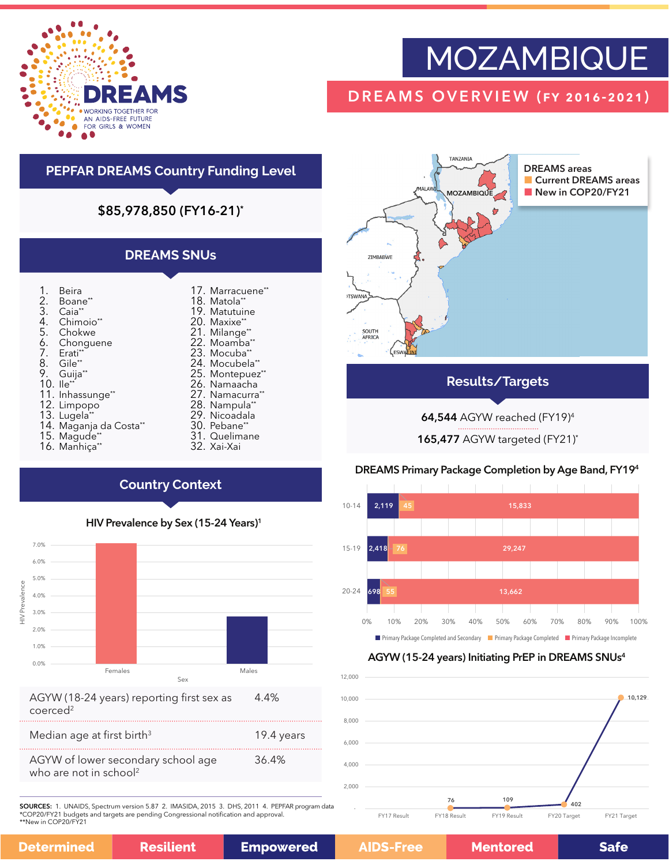

# MOZAMBIQUE

## DREAMS OVERVIEW (fy 2016-2021)

### **PEPFAR DREAMS Country Funding Level**

#### \$85,978,850 (FY16-21)\*

#### **DREAMS SNUs**

| 1.<br>2.<br>3. | Beira<br>Boane**<br>Caia <sup>**</sup> |
|----------------|----------------------------------------|
| 4.             | Chimoio**                              |
| 5.             | Chokwe                                 |
| 6.             | Chonguene                              |
| 7.             | Erati <sup>**</sup>                    |
| 8.             | Gile**                                 |
| 9.             | Guija**                                |
| 10.            | lle**                                  |
| 11.            | Inhassunge**                           |
| 12.            | Limpopo                                |
| 13.            | Lugela*'                               |
| 14.            | Maganja da Costa <sup>*</sup>          |
| 15.            | Magude*                                |

- 16. Manhiça\*\*
- 17. Marracuene\*\* 18. Matola\* 19. Matutuine 20. Maxixe\*\* 21. Milange\*\* 22. Moamba\*\* 23. Mocuba' 24. Mocubela\* 25. Montepuez\*\* 26. Namaacha 27. Namacurra<sup>\*</sup> 28. Nampula\*\*
	- 29. Nicoadala
	- 30. Pebane\*
- 31. Quelimane 32. Xai-Xai

**TANZANIA** DREAMS areas **Current DREAMS areas** MÁI AV New in COP20/FY21 **1OZAMBIQUE** ZIMBABWE **ITSWAN** SOUTH<br>AFRICA ("esw

#### **Results/Targets**

64,544 AGYW reached (FY19)4

165,477 AGYW targeted (FY21)\*

#### DREAMS Primary Package Completion by Age Band, FY194



#### AGYW (15-24 years) Initiating PrEP in DREAMS SNUs4



# **Country Context**



| AGYW (18-24 years) reporting first sex as | 4.4% |
|-------------------------------------------|------|
| coerced <sup>2</sup>                      |      |

| Median age at first birth <sup>3</sup>                                   | 19.4 years |
|--------------------------------------------------------------------------|------------|
| AGYW of lower secondary school age<br>who are not in school <sup>2</sup> | 36.4%      |

SOURCES: 1. UNAIDS, Spectrum version 5.87 2. IMASIDA, 2015 3. DHS, 2011 4. PEPFAR program data \*COP20/FY21 budgets and targets are pending Congressional notification and approval. \*\*New in COP20/FY21

|  | etermined | <b>Resilient</b> |
|--|-----------|------------------|
|--|-----------|------------------|

D

**Mentored** 

**Safe**